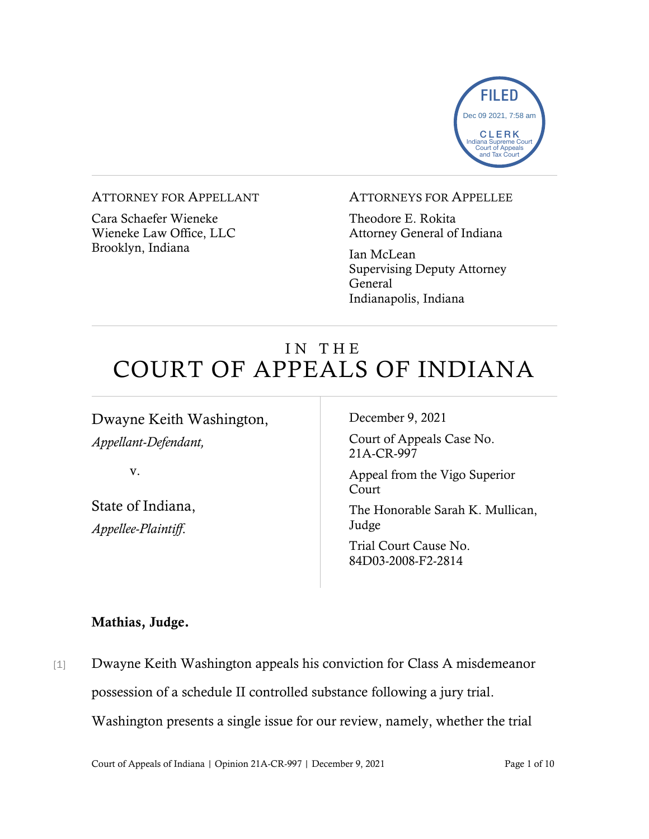

#### ATTORNEY FOR APPELLANT

Cara Schaefer Wieneke Wieneke Law Office, LLC Brooklyn, Indiana

#### ATTORNEYS FOR APPELLEE

Theodore E. Rokita Attorney General of Indiana

Ian McLean Supervising Deputy Attorney General Indianapolis, Indiana

# IN THE COURT OF APPEALS OF INDIANA

Dwayne Keith Washington, *Appellant-Defendant,*

v.

State of Indiana, *Appellee-Plaintiff*.

December 9, 2021

Court of Appeals Case No. 21A-CR-997

Appeal from the Vigo Superior Court

The Honorable Sarah K. Mullican, Judge

Trial Court Cause No. 84D03-2008-F2-2814

#### Mathias, Judge.

[1] Dwayne Keith Washington appeals his conviction for Class A misdemeanor possession of a schedule II controlled substance following a jury trial. Washington presents a single issue for our review, namely, whether the trial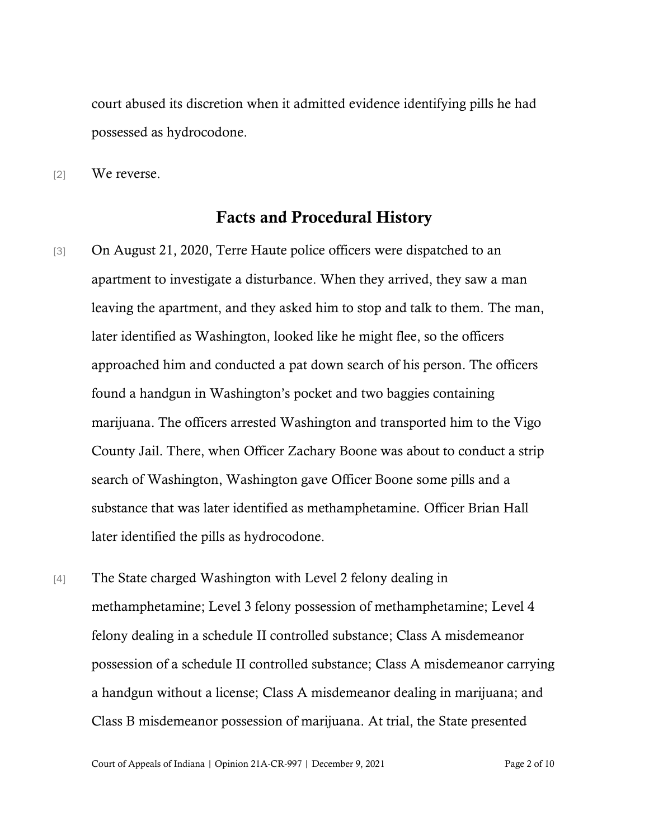court abused its discretion when it admitted evidence identifying pills he had possessed as hydrocodone.

[2] We reverse.

## Facts and Procedural History

- [3] On August 21, 2020, Terre Haute police officers were dispatched to an apartment to investigate a disturbance. When they arrived, they saw a man leaving the apartment, and they asked him to stop and talk to them. The man, later identified as Washington, looked like he might flee, so the officers approached him and conducted a pat down search of his person. The officers found a handgun in Washington's pocket and two baggies containing marijuana. The officers arrested Washington and transported him to the Vigo County Jail. There, when Officer Zachary Boone was about to conduct a strip search of Washington, Washington gave Officer Boone some pills and a substance that was later identified as methamphetamine. Officer Brian Hall later identified the pills as hydrocodone.
- [4] The State charged Washington with Level 2 felony dealing in methamphetamine; Level 3 felony possession of methamphetamine; Level 4 felony dealing in a schedule II controlled substance; Class A misdemeanor possession of a schedule II controlled substance; Class A misdemeanor carrying a handgun without a license; Class A misdemeanor dealing in marijuana; and Class B misdemeanor possession of marijuana. At trial, the State presented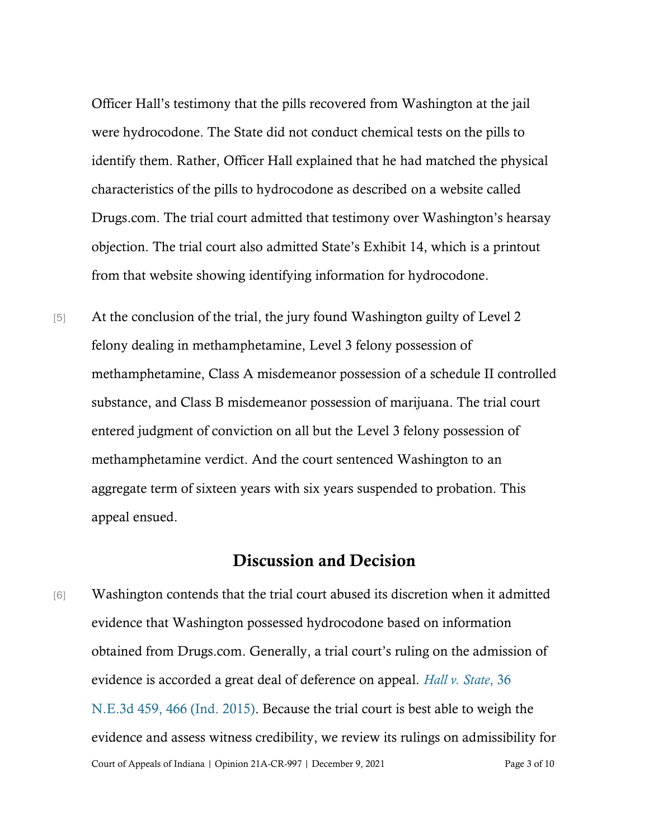Officer Hall's testimony that the pills recovered from Washington at the jail were hydrocodone. The State did not conduct chemical tests on the pills to identify them. Rather, Officer Hall explained that he had matched the physical characteristics of the pills to hydrocodone as described on a website called Drugs.com. The trial court admitted that testimony over Washington's hearsay objection. The trial court also admitted State's Exhibit 14, which is a printout from that website showing identifying information for hydrocodone.

[5] At the conclusion of the trial, the jury found Washington guilty of Level 2 felony dealing in methamphetamine, Level 3 felony possession of methamphetamine, Class A misdemeanor possession of a schedule II controlled substance, and Class B misdemeanor possession of marijuana. The trial court entered judgment of conviction on all but the Level 3 felony possession of methamphetamine verdict. And the court sentenced Washington to an aggregate term of sixteen years with six years suspended to probation. This appeal ensued.

### Discussion and Decision

Court of Appeals of Indiana | Opinion 21A-CR-997 | December 9, 2021 Page 3 of 10 [6] Washington contends that the trial court abused its discretion when it admitted evidence that Washington possessed hydrocodone based on information obtained from Drugs.com. Generally, a trial court's ruling on the admission of evidence is accorded a great deal of deference on appeal. *[Hall v. State](https://www.westlaw.com/Document/Ic02bc266219311e590d4edf60ce7d742/View/FullText.html?transitionType=Default&contextData=(sc.Default)&VR=3.0&RS=da3.0&fragmentIdentifier=co_pp_sp_7902_466)*[, 36](https://www.westlaw.com/Document/Ic02bc266219311e590d4edf60ce7d742/View/FullText.html?transitionType=Default&contextData=(sc.Default)&VR=3.0&RS=da3.0&fragmentIdentifier=co_pp_sp_7902_466)  [N.E.3d 459, 466 \(Ind. 2015\).](https://www.westlaw.com/Document/Ic02bc266219311e590d4edf60ce7d742/View/FullText.html?transitionType=Default&contextData=(sc.Default)&VR=3.0&RS=da3.0&fragmentIdentifier=co_pp_sp_7902_466) Because the trial court is best able to weigh the evidence and assess witness credibility, we review its rulings on admissibility for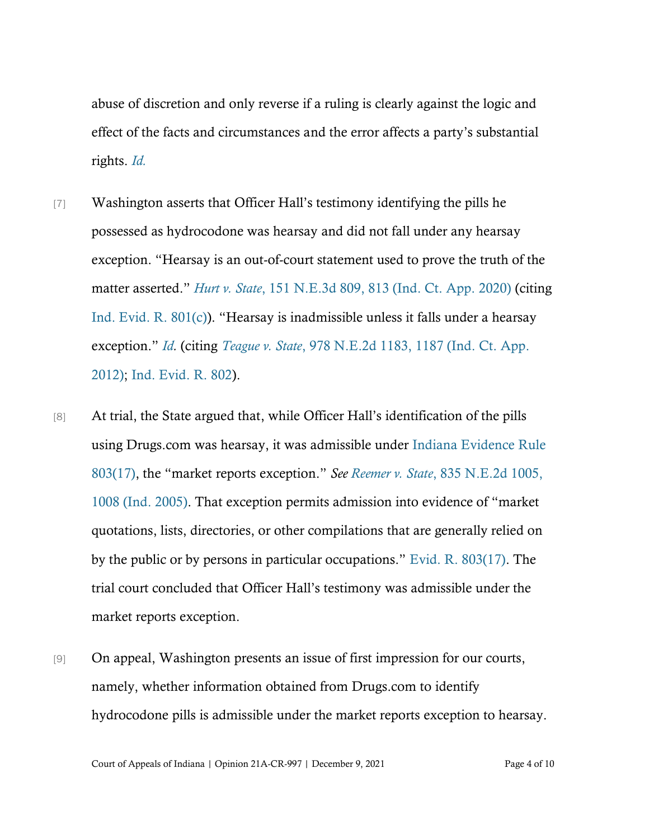abuse of discretion and only reverse if a ruling is clearly against the logic and effect of the facts and circumstances and the error affects a party's substantial rights. *[Id.](https://www.westlaw.com/Document/Ic02bc266219311e590d4edf60ce7d742/View/FullText.html?transitionType=Default&contextData=(sc.Default)&VR=3.0&RS=da3.0)*

- [7] Washington asserts that Officer Hall's testimony identifying the pills he possessed as hydrocodone was hearsay and did not fall under any hearsay exception. "Hearsay is an out-of-court statement used to prove the truth of the matter asserted." *[Hurt v. State](https://www.westlaw.com/Document/I3ee13460e3df11eaa378d6f7344849a6/View/FullText.html?transitionType=Default&contextData=(sc.Default)&VR=3.0&RS=da3.0&fragmentIdentifier=co_pp_sp_7902_813)*[, 151 N.E.3d 809, 813 \(Ind. Ct. App. 2020\)](https://www.westlaw.com/Document/I3ee13460e3df11eaa378d6f7344849a6/View/FullText.html?transitionType=Default&contextData=(sc.Default)&VR=3.0&RS=da3.0&fragmentIdentifier=co_pp_sp_7902_813) (citing [Ind. Evid. R. 801\(c\)](https://www.westlaw.com/Document/N91ACF550B6EC11DB8050D108B1AFD816/View/FullText.html?transitionType=Default&contextData=(sc.Default)&VR=3.0&RS=da3.0)). "Hearsay is inadmissible unless it falls under a hearsay exception." *[Id.](https://www.westlaw.com/Document/I3ee13460e3df11eaa378d6f7344849a6/View/FullText.html?transitionType=Default&contextData=(sc.Default)&VR=3.0&RS=cblt1.0)* (citing *Teague v. State*[, 978 N.E.2d 1183, 1187 \(Ind. Ct. App.](https://www.westlaw.com/Document/Ic5b6e6a43f8311e280719c3f0e80bdd0/View/FullText.html?transitionType=Default&contextData=(sc.Default)&VR=3.0&RS=da3.0&fragmentIdentifier=co_pp_sp_578_1187)  [2012\);](https://www.westlaw.com/Document/Ic5b6e6a43f8311e280719c3f0e80bdd0/View/FullText.html?transitionType=Default&contextData=(sc.Default)&VR=3.0&RS=da3.0&fragmentIdentifier=co_pp_sp_578_1187) [Ind. Evid. R. 802\)](https://www.westlaw.com/Document/N92C80240B6EC11DB8050D108B1AFD816/View/FullText.html?transitionType=Default&contextData=(sc.Default)&VR=3.0&RS=da3.0).
- [8] At trial, the State argued that, while Officer Hall's identification of the pills using Drugs.com was hearsay, it was admissible under Indiana [Evidence Rule](https://www.westlaw.com/Document/N937A3B40B6EC11DB8050D108B1AFD816/View/FullText.html?transitionType=Default&contextData=(sc.Default)&VR=3.0&RS=da3.0)  [803\(17\),](https://www.westlaw.com/Document/N937A3B40B6EC11DB8050D108B1AFD816/View/FullText.html?transitionType=Default&contextData=(sc.Default)&VR=3.0&RS=da3.0) the "market reports exception." *See Reemer v. State*[, 835 N.E.2d 1005,](https://www.westlaw.com/Document/I11592a36457411da8cc9b4c14e983401/View/FullText.html?transitionType=Default&contextData=(sc.Default)&VR=3.0&RS=da3.0&fragmentIdentifier=co_pp_sp_578_1008)  [1008 \(Ind. 2005\).](https://www.westlaw.com/Document/I11592a36457411da8cc9b4c14e983401/View/FullText.html?transitionType=Default&contextData=(sc.Default)&VR=3.0&RS=da3.0&fragmentIdentifier=co_pp_sp_578_1008) That exception permits admission into evidence of "market quotations, lists, directories, or other compilations that are generally relied on by the public or by persons in particular occupations." [Evid. R. 803\(17\).](https://www.westlaw.com/Document/N937A3B40B6EC11DB8050D108B1AFD816/View/FullText.html?transitionType=Default&contextData=(sc.Default)&VR=3.0&RS=cblt1.0) The trial court concluded that Officer Hall's testimony was admissible under the market reports exception.
- [9] On appeal, Washington presents an issue of first impression for our courts, namely, whether information obtained from Drugs.com to identify hydrocodone pills is admissible under the market reports exception to hearsay.

Court of Appeals of Indiana | Opinion 21A-CR-997 | December 9, 2021 Page 4 of 10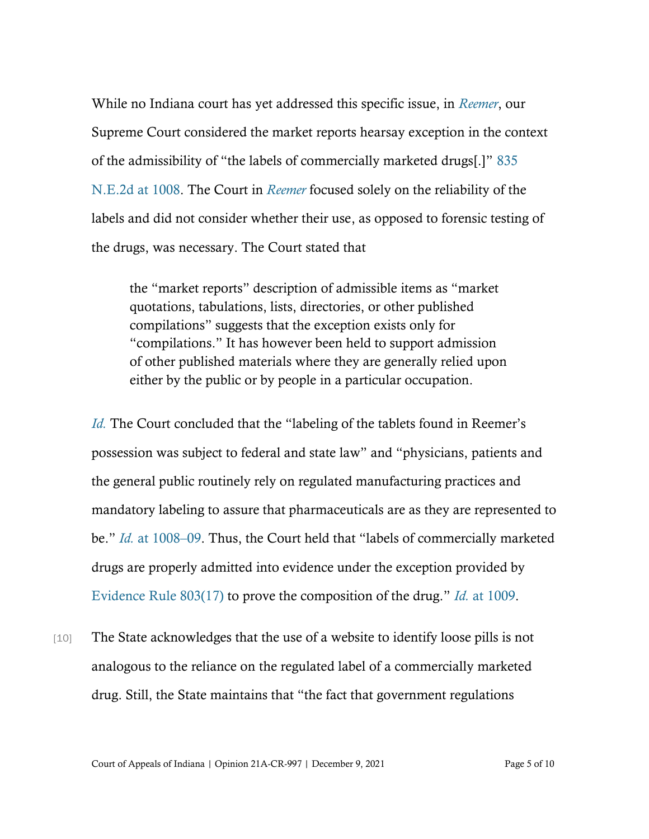While no Indiana court has yet addressed this specific issue, in *[Reemer](https://www.westlaw.com/Document/I11592a36457411da8cc9b4c14e983401/View/FullText.html?transitionType=Default&contextData=(sc.Default)&VR=3.0&RS=da3.0)*, our Supreme Court considered the market reports hearsay exception in the context of the admissibility of "the labels of commercially marketed drugs[.]" [835](https://www.westlaw.com/Document/I11592a36457411da8cc9b4c14e983401/View/FullText.html?transitionType=Default&contextData=(sc.Default)&VR=3.0&RS=da3.0&fragmentIdentifier=co_pp_sp_578_1008)  [N.E.2d at 1008.](https://www.westlaw.com/Document/I11592a36457411da8cc9b4c14e983401/View/FullText.html?transitionType=Default&contextData=(sc.Default)&VR=3.0&RS=da3.0&fragmentIdentifier=co_pp_sp_578_1008) The Court in *[Reemer](https://www.westlaw.com/Document/I11592a36457411da8cc9b4c14e983401/View/FullText.html?transitionType=Default&contextData=(sc.Default)&VR=3.0&RS=da3.0)* focused solely on the reliability of the labels and did not consider whether their use, as opposed to forensic testing of the drugs, was necessary. The Court stated that

the "market reports" description of admissible items as "market quotations, tabulations, lists, directories, or other published compilations" suggests that the exception exists only for "compilations." It has however been held to support admission of other published materials where they are generally relied upon either by the public or by people in a particular occupation.

*[Id.](https://www.westlaw.com/Document/I11592a36457411da8cc9b4c14e983401/View/FullText.html?transitionType=Default&contextData=(sc.Default)&VR=3.0&RS=da3.0)* The Court concluded that the "labeling of the tablets found in Reemer's possession was subject to federal and state law" and "physicians, patients and the general public routinely rely on regulated manufacturing practices and mandatory labeling to assure that pharmaceuticals are as they are represented to be." *Id.* [at 1008](https://www.westlaw.com/Document/I11592a36457411da8cc9b4c14e983401/View/FullText.html?transitionType=Default&contextData=(sc.Default)&VR=3.0&RS=da3.0&fragmentIdentifier=co_pp_sp_578_1008)–[09](https://www.westlaw.com/Document/I11592a36457411da8cc9b4c14e983401/View/FullText.html?transitionType=Default&contextData=(sc.Default)&VR=3.0&RS=da3.0&fragmentIdentifier=co_pp_sp_578_1008). Thus, the Court held that "labels of commercially marketed drugs are properly admitted into evidence under the exception provided by [Evidence Rule 803\(17\)](https://www.westlaw.com/Document/N937A3B40B6EC11DB8050D108B1AFD816/View/FullText.html?transitionType=Default&contextData=(sc.Default)&VR=3.0&RS=cblt1.0) to prove the composition of the drug." *[Id.](https://www.westlaw.com/Document/I11592a36457411da8cc9b4c14e983401/View/FullText.html?transitionType=Default&contextData=(sc.Default)&VR=3.0&RS=da3.0&fragmentIdentifier=co_pp_sp_578_1009)* [at 1009.](https://www.westlaw.com/Document/I11592a36457411da8cc9b4c14e983401/View/FullText.html?transitionType=Default&contextData=(sc.Default)&VR=3.0&RS=da3.0&fragmentIdentifier=co_pp_sp_578_1009)

[10] The State acknowledges that the use of a website to identify loose pills is not analogous to the reliance on the regulated label of a commercially marketed drug. Still, the State maintains that "the fact that government regulations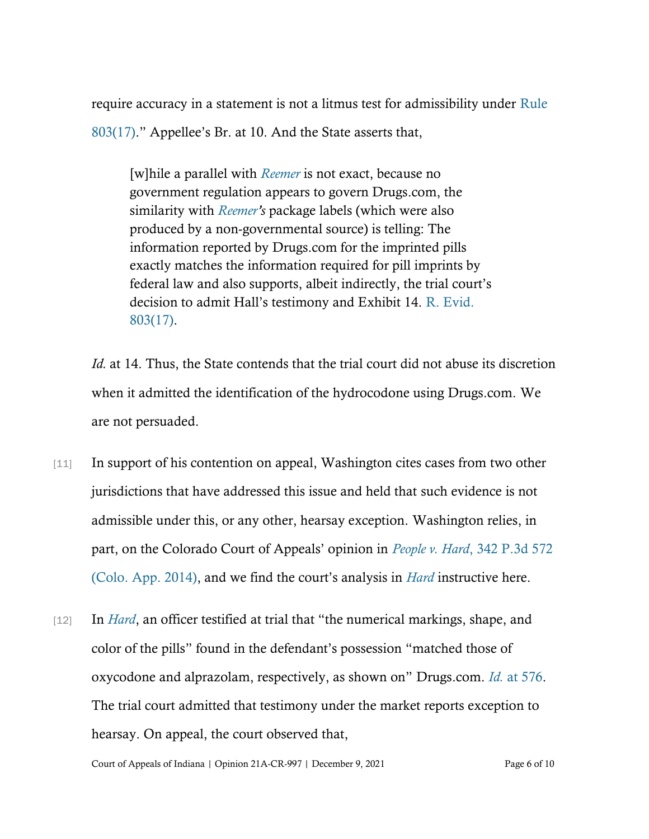require accuracy in a statement is not a litmus test for admissibility under [Rule](https://www.westlaw.com/Document/N937A3B40B6EC11DB8050D108B1AFD816/View/FullText.html?transitionType=Default&contextData=(sc.Default)&VR=3.0&RS=da3.0)  [803\(17\)](https://www.westlaw.com/Document/N937A3B40B6EC11DB8050D108B1AFD816/View/FullText.html?transitionType=Default&contextData=(sc.Default)&VR=3.0&RS=da3.0)." Appellee's Br. at 10. And the State asserts that,

[w]hile a parallel with *[Reemer](https://www.westlaw.com/Document/I11592a36457411da8cc9b4c14e983401/View/FullText.html?transitionType=Default&contextData=(sc.Default)&VR=3.0&RS=cblt1.0)* is not exact, because no government regulation appears to govern Drugs.com, the similarity with *[Reemer](https://www.westlaw.com/Document/I11592a36457411da8cc9b4c14e983401/View/FullText.html?transitionType=Default&contextData=(sc.Default)&VR=3.0&RS=cblt1.0)'s* package labels (which were also produced by a non-governmental source) is telling: The information reported by Drugs.com for the imprinted pills exactly matches the information required for pill imprints by federal law and also supports, albeit indirectly, the trial court's decision to admit Hall's testimony and Exhibit 14. [R. Evid.](https://www.westlaw.com/Document/N937A3B40B6EC11DB8050D108B1AFD816/View/FullText.html?transitionType=Default&contextData=(sc.Default)&VR=3.0&RS=cblt1.0)  [803\(17\).](https://www.westlaw.com/Document/N937A3B40B6EC11DB8050D108B1AFD816/View/FullText.html?transitionType=Default&contextData=(sc.Default)&VR=3.0&RS=cblt1.0)

*Id.* at 14. Thus, the State contends that the trial court did not abuse its discretion when it admitted the identification of the hydrocodone using Drugs.com. We are not persuaded.

- [11] In support of his contention on appeal, Washington cites cases from two other jurisdictions that have addressed this issue and held that such evidence is not admissible under this, or any other, hearsay exception. Washington relies, in part, on the Colorado Court of Appeals' opinion in *People v. Hard*[, 342 P.3d 572](https://www.westlaw.com/Document/I2cd2efc04fd411e4873e9d5b430b5bc9/View/FullText.html?transitionType=Default&contextData=(sc.Default)&VR=3.0&RS=da3.0)  [\(Colo. App. 2014\),](https://www.westlaw.com/Document/I2cd2efc04fd411e4873e9d5b430b5bc9/View/FullText.html?transitionType=Default&contextData=(sc.Default)&VR=3.0&RS=da3.0) and we find the court's analysis in *[Hard](https://www.westlaw.com/Document/I2cd2efc04fd411e4873e9d5b430b5bc9/View/FullText.html?transitionType=Default&contextData=(sc.Default)&VR=3.0&RS=da3.0)* instructive here.
- [12] In *[Hard](https://www.westlaw.com/Document/I2cd2efc04fd411e4873e9d5b430b5bc9/View/FullText.html?transitionType=Default&contextData=(sc.Default)&VR=3.0&RS=da3.0)*, an officer testified at trial that "the numerical markings, shape, and color of the pills" found in the defendant's possession "matched those of oxycodone and alprazolam, respectively, as shown on" Drugs.com. *[Id.](https://www.westlaw.com/Document/I2cd2efc04fd411e4873e9d5b430b5bc9/View/FullText.html?transitionType=Default&contextData=(sc.Default)&VR=3.0&RS=da3.0&fragmentIdentifier=co_pp_sp_4645_576)* [at 576.](https://www.westlaw.com/Document/I2cd2efc04fd411e4873e9d5b430b5bc9/View/FullText.html?transitionType=Default&contextData=(sc.Default)&VR=3.0&RS=da3.0&fragmentIdentifier=co_pp_sp_4645_576) The trial court admitted that testimony under the market reports exception to hearsay. On appeal, the court observed that,

Court of Appeals of Indiana | Opinion 21A-CR-997 | December 9, 2021 Page 6 of 10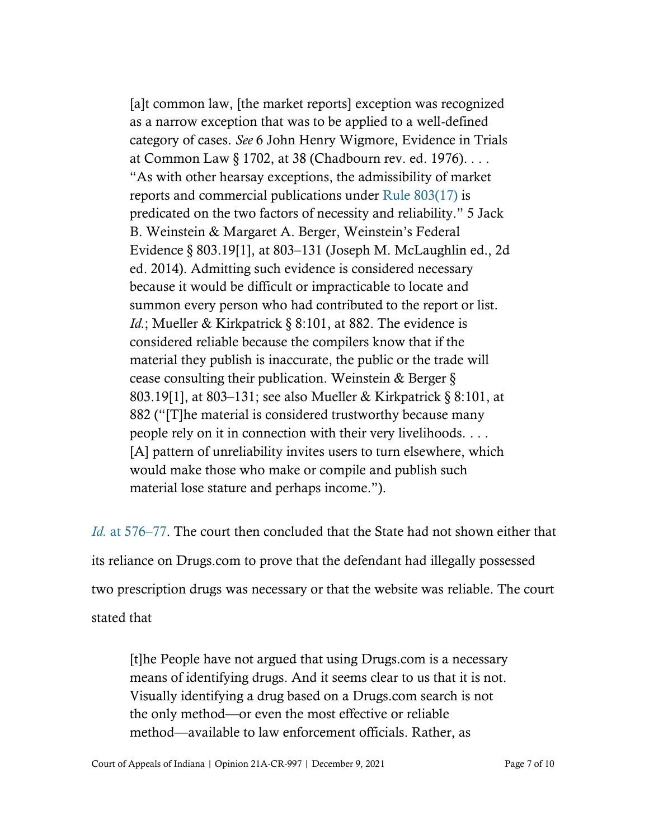[a]t common law, [the market reports] exception was recognized as a narrow exception that was to be applied to a well-defined category of cases. *See* 6 John Henry Wigmore, Evidence in Trials at Common Law § 1702, at 38 (Chadbourn rev. ed. 1976). . . . "As with other hearsay exceptions, the admissibility of market reports and commercial publications under [Rule 803\(17\)](https://www.westlaw.com/Document/N937A3B40B6EC11DB8050D108B1AFD816/View/FullText.html?transitionType=Default&contextData=(sc.Default)&VR=3.0&RS=da3.0) is predicated on the two factors of necessity and reliability." 5 Jack B. Weinstein & Margaret A. Berger, Weinstein's Federal Evidence § 803.19[1], at 803–131 (Joseph M. McLaughlin ed., 2d ed. 2014). Admitting such evidence is considered necessary because it would be difficult or impracticable to locate and summon every person who had contributed to the report or list. *Id.*; Mueller & Kirkpatrick § 8:101, at 882. The evidence is considered reliable because the compilers know that if the material they publish is inaccurate, the public or the trade will cease consulting their publication. Weinstein & Berger § 803.19[1], at 803–131; see also Mueller & Kirkpatrick § 8:101, at 882 ("[T]he material is considered trustworthy because many people rely on it in connection with their very livelihoods. . . . [A] pattern of unreliability invites users to turn elsewhere, which would make those who make or compile and publish such material lose stature and perhaps income.").

*Id.* [at 576](https://www.westlaw.com/Document/I2cd2efc04fd411e4873e9d5b430b5bc9/View/FullText.html?transitionType=Default&contextData=(sc.Default)&VR=3.0&RS=da3.0&fragmentIdentifier=co_pp_sp_4645_576)–[77.](https://www.westlaw.com/Document/I2cd2efc04fd411e4873e9d5b430b5bc9/View/FullText.html?transitionType=Default&contextData=(sc.Default)&VR=3.0&RS=da3.0&fragmentIdentifier=co_pp_sp_4645_576) The court then concluded that the State had not shown either that its reliance on Drugs.com to prove that the defendant had illegally possessed two prescription drugs was necessary or that the website was reliable. The court stated that

[t]he People have not argued that using Drugs.com is a necessary means of identifying drugs. And it seems clear to us that it is not. Visually identifying a drug based on a Drugs.com search is not the only method—or even the most effective or reliable method—available to law enforcement officials. Rather, as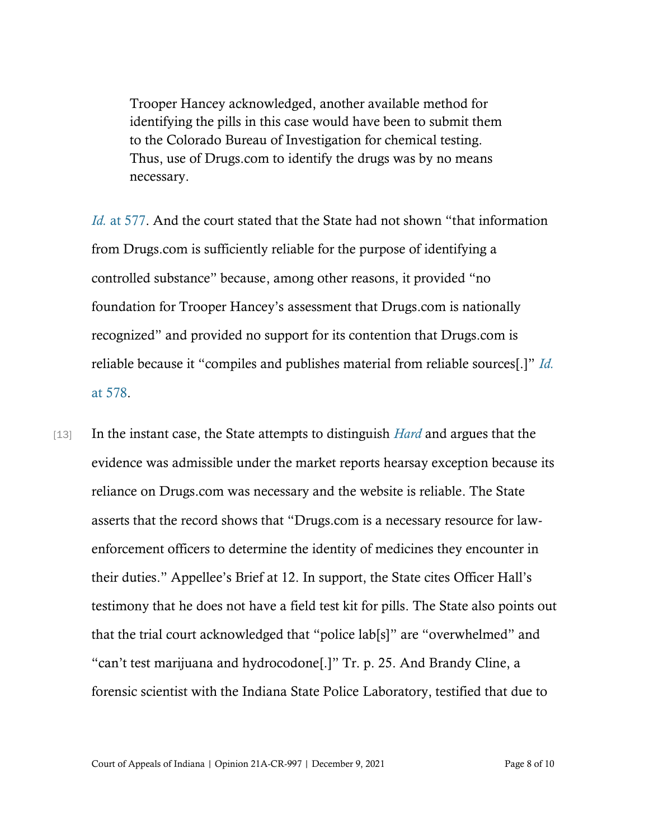Trooper Hancey acknowledged, another available method for identifying the pills in this case would have been to submit them to the Colorado Bureau of Investigation for chemical testing. Thus, use of Drugs.com to identify the drugs was by no means necessary.

*[Id.](https://www.westlaw.com/Document/I2cd2efc04fd411e4873e9d5b430b5bc9/View/FullText.html?transitionType=Default&contextData=(sc.Default)&VR=3.0&RS=da3.0&fragmentIdentifier=co_pp_sp_4645_577)* [at 577.](https://www.westlaw.com/Document/I2cd2efc04fd411e4873e9d5b430b5bc9/View/FullText.html?transitionType=Default&contextData=(sc.Default)&VR=3.0&RS=da3.0&fragmentIdentifier=co_pp_sp_4645_577) And the court stated that the State had not shown "that information" from Drugs.com is sufficiently reliable for the purpose of identifying a controlled substance" because, among other reasons, it provided "no foundation for Trooper Hancey's assessment that Drugs.com is nationally recognized" and provided no support for its contention that Drugs.com is reliable because it "compiles and publishes material from reliable sources[.]" *[Id.](https://www.westlaw.com/Document/I2cd2efc04fd411e4873e9d5b430b5bc9/View/FullText.html?transitionType=Default&contextData=(sc.Default)&VR=3.0&RS=da3.0&fragmentIdentifier=co_pp_sp_4645_578)* [at 578.](https://www.westlaw.com/Document/I2cd2efc04fd411e4873e9d5b430b5bc9/View/FullText.html?transitionType=Default&contextData=(sc.Default)&VR=3.0&RS=da3.0&fragmentIdentifier=co_pp_sp_4645_578)

[13] In the instant case, the State attempts to distinguish *[Hard](https://www.westlaw.com/Document/I2cd2efc04fd411e4873e9d5b430b5bc9/View/FullText.html?transitionType=Default&contextData=(sc.Default)&VR=3.0&RS=cblt1.0)* and argues that the evidence was admissible under the market reports hearsay exception because its reliance on Drugs.com was necessary and the website is reliable. The State asserts that the record shows that "Drugs.com is a necessary resource for lawenforcement officers to determine the identity of medicines they encounter in their duties." Appellee's Brief at 12. In support, the State cites Officer Hall's testimony that he does not have a field test kit for pills. The State also points out that the trial court acknowledged that "police lab[s]" are "overwhelmed" and "can't test marijuana and hydrocodone[.]" Tr. p. 25. And Brandy Cline, a forensic scientist with the Indiana State Police Laboratory, testified that due to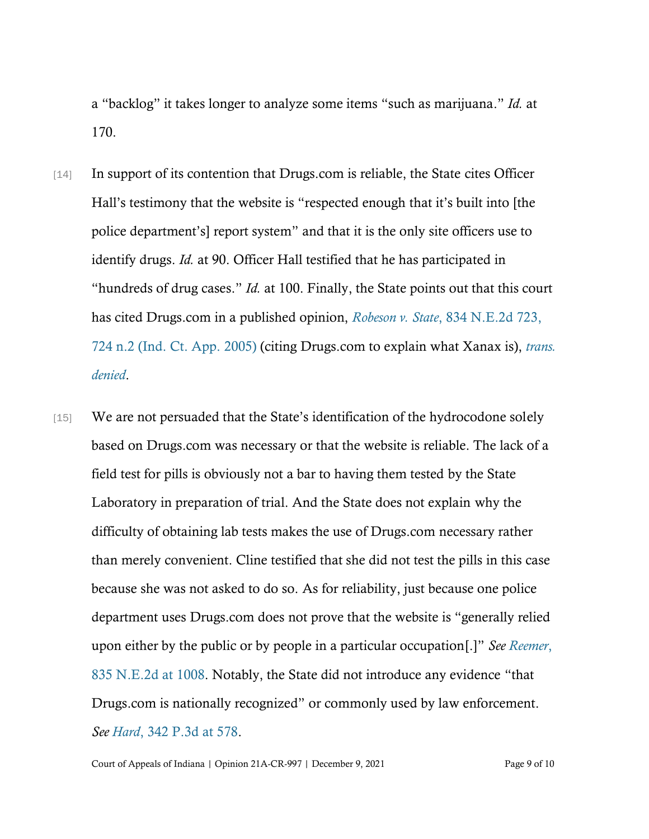a "backlog" it takes longer to analyze some items "such as marijuana." *Id.* at 170.

- [14] In support of its contention that Drugs.com is reliable, the State cites Officer Hall's testimony that the website is "respected enough that it's built into [the police department's] report system" and that it is the only site officers use to identify drugs. *Id.* at 90. Officer Hall testified that he has participated in "hundreds of drug cases." *Id.* at 100. Finally, the State points out that this court has cited Drugs.com in a published opinion, *Robeson v. State*[, 834 N.E.2d 723,](https://www.westlaw.com/Document/I312e2529302211dab072a248d584787d/View/FullText.html?transitionType=Default&contextData=(sc.Default)&VR=3.0&RS=da3.0&fragmentIdentifier=co_pp_sp_578_724+n.2)  724 n.2 [\(Ind. Ct. App. 2005\)](https://www.westlaw.com/Document/I312e2529302211dab072a248d584787d/View/FullText.html?transitionType=Default&contextData=(sc.Default)&VR=3.0&RS=da3.0&fragmentIdentifier=co_pp_sp_578_724+n.2) (citing Drugs.com to explain what Xanax is), *[trans.](https://www.westlaw.com/Document/I312e2529302211dab072a248d584787d/View/FullText.html?transitionType=Default&contextData=(sc.Default)&VR=3.0&RS=cblt1.0)  [denied](https://www.westlaw.com/Document/I312e2529302211dab072a248d584787d/View/FullText.html?transitionType=Default&contextData=(sc.Default)&VR=3.0&RS=cblt1.0)*.
- [15] We are not persuaded that the State's identification of the hydrocodone solely based on Drugs.com was necessary or that the website is reliable. The lack of a field test for pills is obviously not a bar to having them tested by the State Laboratory in preparation of trial. And the State does not explain why the difficulty of obtaining lab tests makes the use of Drugs.com necessary rather than merely convenient. Cline testified that she did not test the pills in this case because she was not asked to do so. As for reliability, just because one police department uses Drugs.com does not prove that the website is "generally relied upon either by the public or by people in a particular occupation[.]" *See [Reemer](https://www.westlaw.com/Document/I11592a36457411da8cc9b4c14e983401/View/FullText.html?transitionType=Default&contextData=(sc.Default)&VR=3.0&RS=da3.0&fragmentIdentifier=co_pp_sp_578_1008)*[,](https://www.westlaw.com/Document/I11592a36457411da8cc9b4c14e983401/View/FullText.html?transitionType=Default&contextData=(sc.Default)&VR=3.0&RS=da3.0&fragmentIdentifier=co_pp_sp_578_1008)  [835 N.E.2d at 1008.](https://www.westlaw.com/Document/I11592a36457411da8cc9b4c14e983401/View/FullText.html?transitionType=Default&contextData=(sc.Default)&VR=3.0&RS=da3.0&fragmentIdentifier=co_pp_sp_578_1008) Notably, the State did not introduce any evidence "that Drugs.com is nationally recognized" or commonly used by law enforcement. *See Hard*[, 342 P.3d](https://www.westlaw.com/Document/I2cd2efc04fd411e4873e9d5b430b5bc9/View/FullText.html?transitionType=Default&contextData=(sc.Default)&VR=3.0&RS=da3.0&fragmentIdentifier=co_pp_sp_4645_578) [at 578.](https://www.westlaw.com/Document/I2cd2efc04fd411e4873e9d5b430b5bc9/View/FullText.html?transitionType=Default&contextData=(sc.Default)&VR=3.0&RS=da3.0&fragmentIdentifier=co_pp_sp_4645_578)

Court of Appeals of Indiana | Opinion 21A-CR-997 | December 9, 2021 Page 9 of 10